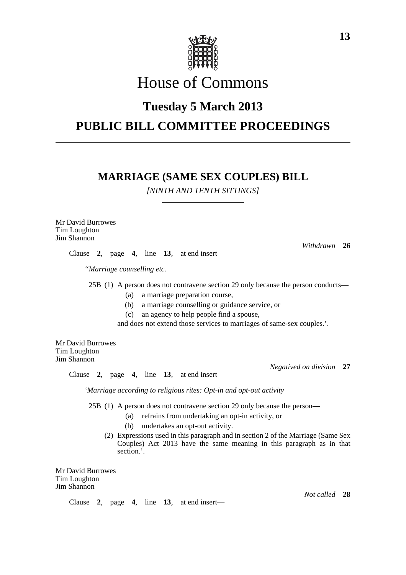

# House of Commons

### **Tuesday 5 March 2013**

## **PUBLIC BILL COMMITTEE PROCEEDINGS**

### **MARRIAGE (SAME SEX COUPLES) BILL**

*[NINTH AND TENTH SITTINGS]*

Mr David Burrowes Tim Loughton Jim Shannon

Clause **2**, page **4**, line **13**, at end insert—

*"Marriage counselling etc.*

25B (1) A person does not contravene section 29 only because the person conducts—

- (a) a marriage preparation course,
- (b) a marriage counselling or guidance service, or
- (c) an agency to help people find a spouse,

and does not extend those services to marriages of same-sex couples.'.

Mr David Burrowes Tim Loughton Jim Shannon

Clause **2**, page **4**, line **13**, at end insert—

*'Marriage according to religious rites: Opt-in and opt-out activity*

25B (1) A person does not contravene section 29 only because the person—

- (a) refrains from undertaking an opt-in activity, or
- (b) undertakes an opt-out activity.
- (2) Expressions used in this paragraph and in section 2 of the Marriage (Same Sex Couples) Act 2013 have the same meaning in this paragraph as in that section.'.

Mr David Burrowes Tim Loughton Jim Shannon

Clause **2**, page **4**, line **13**, at end insert—

*Not called* **28**

*Negatived on division* **27**

*Withdrawn* **26**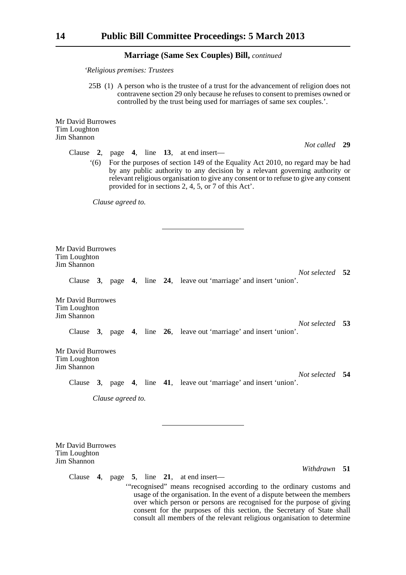#### **Marriage (Same Sex Couples) Bill,** *continued*

*'Religious premises: Trustees*

25B (1) A person who is the trustee of a trust for the advancement of religion does not contravene section 29 only because he refuses to consent to premises owned or controlled by the trust being used for marriages of same sex couples.'.

Mr David Burrowes Tim Loughton Jim Shannon

Clause **2**, page **4**, line **13**, at end insert—

'(6) For the purposes of section 149 of the Equality Act 2010, no regard may be had by any public authority to any decision by a relevant governing authority or relevant religious organisation to give any consent or to refuse to give any consent provided for in sections 2, 4, 5, or 7 of this Act'.

*Clause agreed to.*

Mr David Burrowes Tim Loughton Jim Shannon

*Not selected* **52**

Clause **3**, page **4**, line **24**, leave out 'marriage' and insert 'union'.

Mr David Burrowes Tim Loughton Jim Shannon

> *Not selected* **53** Clause **3**, page **4**, line **26**, leave out 'marriage' and insert 'union'.

Mr David Burrowes Tim Loughton Jim Shannon

*Not selected* **54** Clause **3**, page **4**, line **41**, leave out 'marriage' and insert 'union'.

*Clause agreed to.*

Mr David Burrowes Tim Loughton Jim Shannon

*Withdrawn* **51**

*Not called* **29**

Clause **4**, page **5**, line **21**, at end insert— '"recognised" means recognised according to the ordinary customs and usage of the organisation. In the event of a dispute between the members over which person or persons are recognised for the purpose of giving consent for the purposes of this section, the Secretary of State shall consult all members of the relevant religious organisation to determine